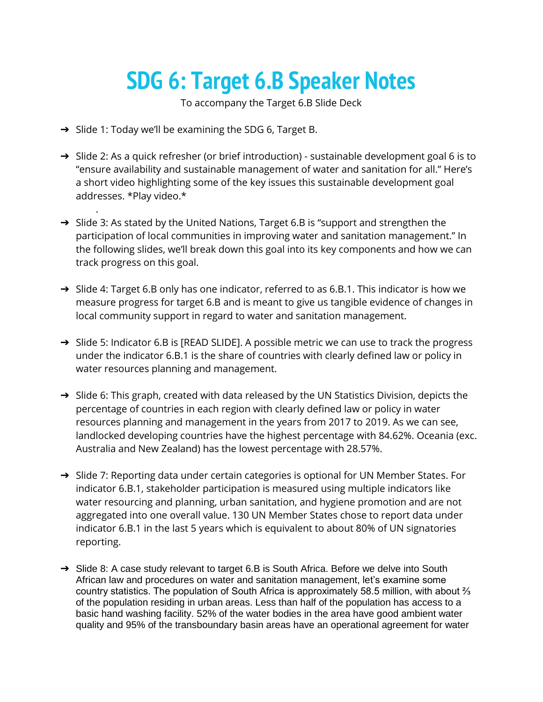## **SDG 6: Target 6.B Speaker Notes**

To accompany the Target 6.B Slide Deck

➔ Slide 1: Today we'll be examining the SDG 6, Target B.

.

- → Slide 2: As a quick refresher (or brief introduction) sustainable development goal 6 is to "ensure availability and sustainable management of water and sanitation for all." Here's a short video highlighting some of the key issues this sustainable development goal addresses. \*Play video.\*
- → Slide 3: As stated by the United Nations, Target 6.B is "support and strengthen the participation of local communities in improving water and sanitation management." In the following slides, we'll break down this goal into its key components and how we can track progress on this goal.
- → Slide 4: Target 6.B only has one indicator, referred to as 6.B.1. This indicator is how we measure progress for target 6.B and is meant to give us tangible evidence of changes in local community support in regard to water and sanitation management.
- $\rightarrow$  Slide 5: Indicator 6.B is [READ SLIDE]. A possible metric we can use to track the progress under the indicator 6.B.1 is the share of countries with clearly defined law or policy in water resources planning and management.
- $\rightarrow$  Slide 6: This graph, created with data released by the UN Statistics Division, depicts the percentage of countries in each region with clearly defined law or policy in water resources planning and management in the years from 2017 to 2019. As we can see, landlocked developing countries have the highest percentage with 84.62%. Oceania (exc. Australia and New Zealand) has the lowest percentage with 28.57%.
- → Slide 7: Reporting data under certain categories is optional for UN Member States. For indicator 6.B.1, stakeholder participation is measured using multiple indicators like water resourcing and planning, urban sanitation, and hygiene promotion and are not aggregated into one overall value. 130 UN Member States chose to report data under indicator 6.B.1 in the last 5 years which is equivalent to about 80% of UN signatories reporting.
- ➔ Slide 8: A case study relevant to target 6.B is South Africa. Before we delve into South African law and procedures on water and sanitation management, let's examine some country statistics. The population of South Africa is approximately 58.5 million, with about ⅔ of the population residing in urban areas. Less than half of the population has access to a basic hand washing facility. 52% of the water bodies in the area have good ambient water quality and 95% of the transboundary basin areas have an operational agreement for water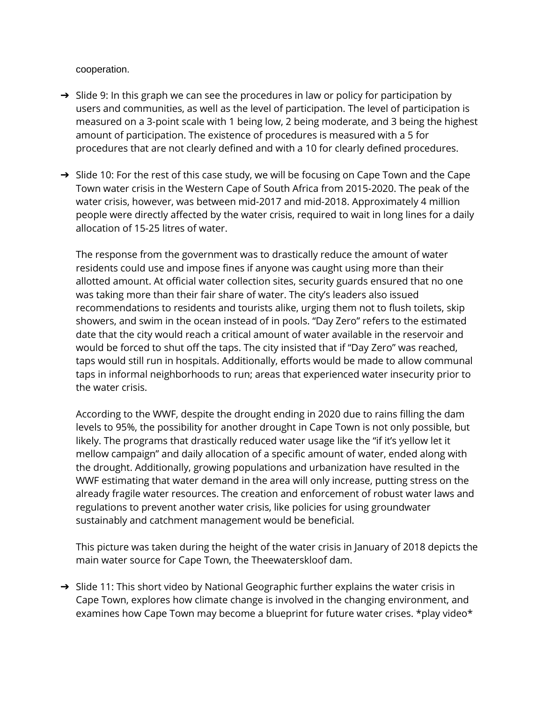cooperation.

- → Slide 9: In this graph we can see the procedures in law or policy for participation by users and communities, as well as the level of participation. The level of participation is measured on a 3-point scale with 1 being low, 2 being moderate, and 3 being the highest amount of participation. The existence of procedures is measured with a 5 for procedures that are not clearly defined and with a 10 for clearly defined procedures.
- → Slide 10: For the rest of this case study, we will be focusing on Cape Town and the Cape Town water crisis in the Western Cape of South Africa from 2015-2020. The peak of the water crisis, however, was between mid-2017 and mid-2018. Approximately 4 million people were directly affected by the water crisis, required to wait in long lines for a daily allocation of 15-25 litres of water.

The response from the government was to drastically reduce the amount of water residents could use and impose fines if anyone was caught using more than their allotted amount. At official water collection sites, security guards ensured that no one was taking more than their fair share of water. The city's leaders also issued recommendations to residents and tourists alike, urging them not to flush toilets, skip showers, and swim in the ocean instead of in pools. "Day Zero" refers to the estimated date that the city would reach a critical amount of water available in the reservoir and would be forced to shut off the taps. The city insisted that if "Day Zero" was reached, taps would still run in hospitals. Additionally, efforts would be made to allow communal taps in informal neighborhoods to run; areas that experienced water insecurity prior to the water crisis.

According to the WWF, despite the drought ending in 2020 due to rains filling the dam levels to 95%, the possibility for another drought in Cape Town is not only possible, but likely. The programs that drastically reduced water usage like the "if it's yellow let it mellow campaign" and daily allocation of a specific amount of water, ended along with the drought. Additionally, growing populations and urbanization have resulted in the WWF estimating that water demand in the area will only increase, putting stress on the already fragile water resources. The creation and enforcement of robust water laws and regulations to prevent another water crisis, like policies for using groundwater sustainably and catchment management would be beneficial.

This picture was taken during the height of the water crisis in January of 2018 depicts the main water source for Cape Town, the Theewaterskloof dam.

→ Slide 11: This short video by National Geographic further explains the water crisis in Cape Town, explores how climate change is involved in the changing environment, and examines how Cape Town may become a blueprint for future water crises. \*play video\*